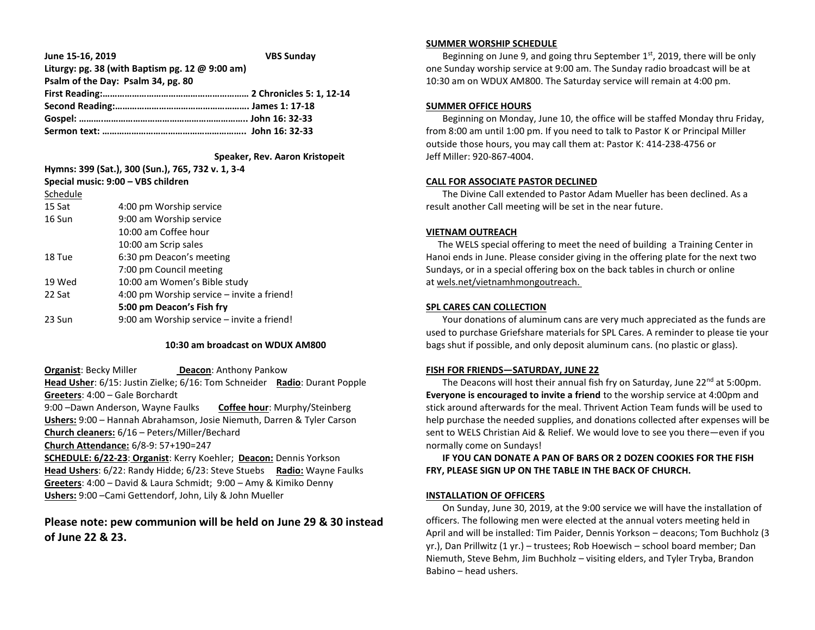| June 15-16, 2019                                  | <b>VBS Sunday</b> |
|---------------------------------------------------|-------------------|
| Liturgy: pg. 38 (with Baptism pg. 12 $@$ 9:00 am) |                   |
| Psalm of the Day: Psalm 34, pg. 80                |                   |
|                                                   |                   |
|                                                   |                   |
|                                                   |                   |
|                                                   |                   |

 **Speaker, Rev. Aaron Kristopeit**

| Hymns: 399 (Sat.), 300 (Sun.), 765, 732 v. 1, 3-4<br>Special music: 9:00 - VBS children |  |
|-----------------------------------------------------------------------------------------|--|
|                                                                                         |  |
| 4:00 pm Worship service                                                                 |  |
| 9:00 am Worship service                                                                 |  |
| 10:00 am Coffee hour                                                                    |  |
| 10:00 am Scrip sales                                                                    |  |
| 6:30 pm Deacon's meeting                                                                |  |
| 7:00 pm Council meeting                                                                 |  |
| 10:00 am Women's Bible study                                                            |  |
| 4:00 pm Worship service – invite a friend!                                              |  |
| 5:00 pm Deacon's Fish fry                                                               |  |
| 9:00 am Worship service – invite a friend!                                              |  |
|                                                                                         |  |

## **10:30 am broadcast on WDUX AM800**

**Organist: Becky Miller <b>Deacon:** Anthony Pankow **Head Usher**: 6/15: Justin Zielke; 6/16: Tom Schneider **Radio**: Durant Popple **Greeters**: 4:00 – Gale Borchardt 9:00 –Dawn Anderson, Wayne Faulks **Coffee hour**: Murphy/Steinberg

**Ushers:** 9:00 – Hannah Abrahamson, Josie Niemuth, Darren & Tyler Carson **Church cleaners:** 6/16 – Peters/Miller/Bechard

**Church Attendance:** 6/8-9: 57+190=247

**SCHEDULE: 6/22-23**: **Organist**: Kerry Koehler; **Deacon:** Dennis Yorkson **Head Ushers**: 6/22: Randy Hidde; 6/23: Steve Stuebs **Radio:** Wayne Faulks **Greeters**: 4:00 – David & Laura Schmidt; 9:00 – Amy & Kimiko Denny **Ushers:** 9:00 –Cami Gettendorf, John, Lily & John Mueller

# **Please note: pew communion will be held on June 29 & 30 instead of June 22 & 23.**

#### **SUMMER WORSHIP SCHEDULE**

Beginning on June 9, and going thru September  $1<sup>st</sup>$ , 2019, there will be only one Sunday worship service at 9:00 am. The Sunday radio broadcast will be at 10:30 am on WDUX AM800. The Saturday service will remain at 4:00 pm.

### **SUMMER OFFICE HOURS**

 Beginning on Monday, June 10, the office will be staffed Monday thru Friday, from 8:00 am until 1:00 pm. If you need to talk to Pastor K or Principal Miller outside those hours, you may call them at: Pastor K: 414-238-4756 or Jeff Miller: 920-867-4004.

#### **CALL FOR ASSOCIATE PASTOR DECLINED**

 The Divine Call extended to Pastor Adam Mueller has been declined. As a result another Call meeting will be set in the near future.

#### **VIETNAM OUTREACH**

 The WELS special offering to meet the need of building a Training Center in Hanoi ends in June. Please consider giving in the offering plate for the next two Sundays, or in a special offering box on the back tables in church or online at wels.net/vietnamhmongoutreach.

### **SPL CARES CAN COLLECTION**

 Your donations of aluminum cans are very much appreciated as the funds are used to purchase Griefshare materials for SPL Cares. A reminder to please tie your bags shut if possible, and only deposit aluminum cans. (no plastic or glass).

#### **FISH FOR FRIENDS—SATURDAY, JUNE 22**

The Deacons will host their annual fish fry on Saturday, June  $22^{nd}$  at 5:00pm. **Everyone is encouraged to invite a friend** to the worship service at 4:00pm and stick around afterwards for the meal. Thrivent Action Team funds will be used to help purchase the needed supplies, and donations collected after expenses will be sent to WELS Christian Aid & Relief. We would love to see you there—even if you normally come on Sundays!

 **IF YOU CAN DONATE A PAN OF BARS OR 2 DOZEN COOKIES FOR THE FISH FRY, PLEASE SIGN UP ON THE TABLE IN THE BACK OF CHURCH.**

## **INSTALLATION OF OFFICERS**

 On Sunday, June 30, 2019, at the 9:00 service we will have the installation of officers. The following men were elected at the annual voters meeting held in April and will be installed: Tim Paider, Dennis Yorkson – deacons; Tom Buchholz (3 yr.), Dan Prillwitz (1 yr.) – trustees; Rob Hoewisch – school board member; Dan Niemuth, Steve Behm, Jim Buchholz – visiting elders, and Tyler Tryba, Brandon Babino – head ushers.